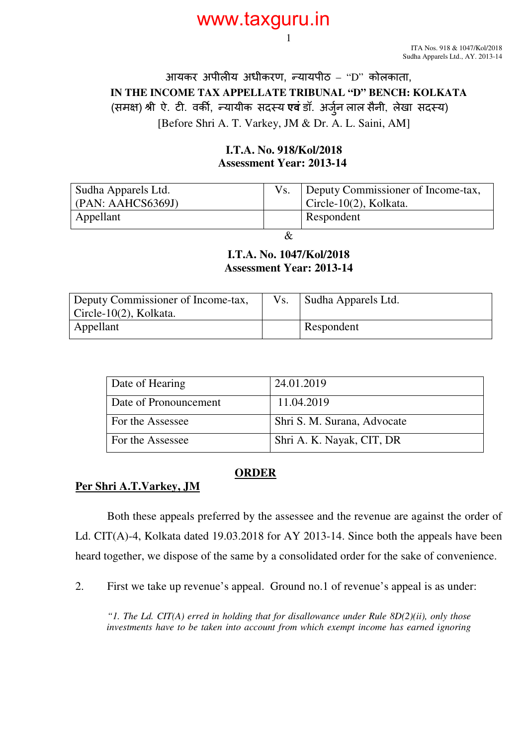## www.taxguru.in

ITA Nos. 918 & 1047/Kol/2018 Sudha Apparels Ltd., AY. 2013-14

### आयकर अपील य अधीकरण, यायपीठ – "D" कोलकाता, **IN THE INCOME TAX APPELLATE TRIBUNAL "D" BENCH: KOLKATA**  (समक्ष) श्री ऐ. टी. वर्की, न्यायीक सदस्य **एवं** डॉ. अर्जुन लाल सैनी, लेखा सदस्य) [Before Shri A. T. Varkey, JM & Dr. A. L. Saini, AM]

1

#### **I.T.A. No. 918/Kol/2018 Assessment Year: 2013-14**

| Sudha Apparels Ltd.<br>( PAN: AAHCS6369J) | Deputy Commissioner of Income-tax,<br>Circle-10 $(2)$ , Kolkata. |
|-------------------------------------------|------------------------------------------------------------------|
| Appellant                                 | Respondent                                                       |

&

#### **I.T.A. No. 1047/Kol/2018 Assessment Year: 2013-14**

| Deputy Commissioner of Income-tax, | Vs. | Sudha Apparels Ltd. |
|------------------------------------|-----|---------------------|
| $Circle-10(2)$ , Kolkata.          |     |                     |
| Appellant                          |     | Respondent          |

| Date of Hearing       | 24.01.2019                  |
|-----------------------|-----------------------------|
| Date of Pronouncement | 11.04.2019                  |
| For the Assessee      | Shri S. M. Surana, Advocate |
| For the Assessee      | Shri A. K. Nayak, CIT, DR   |

#### **ORDER**

#### **Per Shri A.T.Varkey, JM**

Both these appeals preferred by the assessee and the revenue are against the order of Ld. CIT(A)-4, Kolkata dated 19.03.2018 for AY 2013-14. Since both the appeals have been heard together, we dispose of the same by a consolidated order for the sake of convenience.

2. First we take up revenue's appeal. Ground no.1 of revenue's appeal is as under:

 *"1. The Ld. CIT(A) erred in holding that for disallowance under Rule 8D(2)(ii), only those investments have to be taken into account from which exempt income has earned ignoring*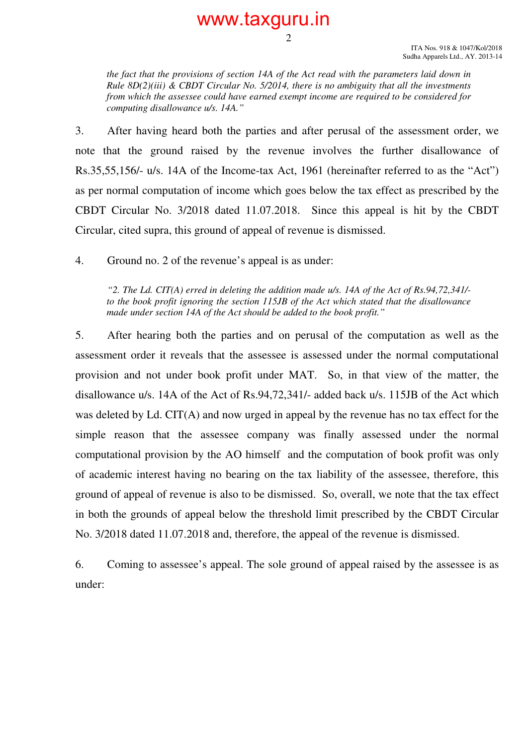#### ITA Nos. 918 & 1047/Kol/2018 Sudha Apparels Ltd., AY. 2013-14

*the fact that the provisions of section 14A of the Act read with the parameters laid down in Rule 8D(2)(iii) & CBDT Circular No. 5/2014, there is no ambiguity that all the investments from which the assessee could have earned exempt income are required to be considered for computing disallowance u/s. 14A."* 

2

www.taxguru.in

3. After having heard both the parties and after perusal of the assessment order, we note that the ground raised by the revenue involves the further disallowance of Rs.35,55,156/- u/s. 14A of the Income-tax Act, 1961 (hereinafter referred to as the "Act") as per normal computation of income which goes below the tax effect as prescribed by the CBDT Circular No. 3/2018 dated 11.07.2018. Since this appeal is hit by the CBDT Circular, cited supra, this ground of appeal of revenue is dismissed.

4. Ground no. 2 of the revenue's appeal is as under:

 *"2. The Ld. CIT(A) erred in deleting the addition made u/s. 14A of the Act of Rs.94,72,341/ to the book profit ignoring the section 115JB of the Act which stated that the disallowance made under section 14A of the Act should be added to the book profit."* 

5. After hearing both the parties and on perusal of the computation as well as the assessment order it reveals that the assessee is assessed under the normal computational provision and not under book profit under MAT. So, in that view of the matter, the disallowance u/s. 14A of the Act of Rs.94,72,341/- added back u/s. 115JB of the Act which was deleted by Ld. CIT(A) and now urged in appeal by the revenue has no tax effect for the simple reason that the assessee company was finally assessed under the normal computational provision by the AO himself and the computation of book profit was only of academic interest having no bearing on the tax liability of the assessee, therefore, this ground of appeal of revenue is also to be dismissed. So, overall, we note that the tax effect in both the grounds of appeal below the threshold limit prescribed by the CBDT Circular No. 3/2018 dated 11.07.2018 and, therefore, the appeal of the revenue is dismissed.

6. Coming to assessee's appeal. The sole ground of appeal raised by the assessee is as under: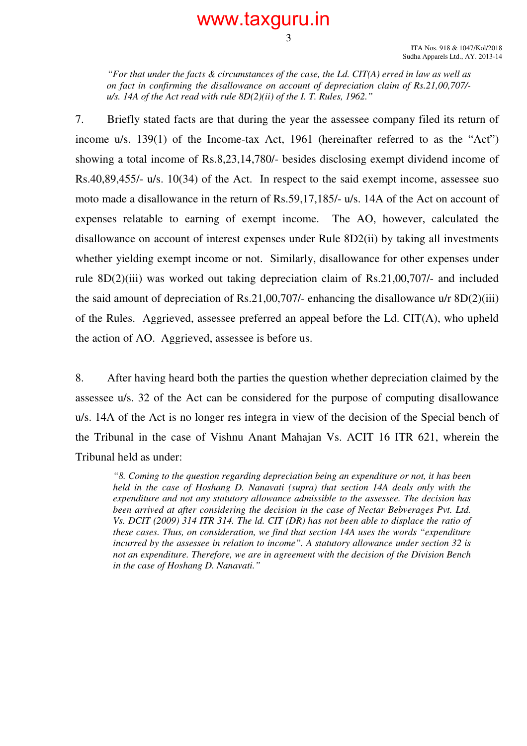### www.taxguru.in

3

 *"For that under the facts & circumstances of the case, the Ld. CIT(A) erred in law as well as on fact in confirming the disallowance on account of depreciation claim of Rs.21,00,707/ u/s. 14A of the Act read with rule 8D(2)(ii) of the I. T. Rules, 1962."* 

7. Briefly stated facts are that during the year the assessee company filed its return of income u/s. 139(1) of the Income-tax Act, 1961 (hereinafter referred to as the "Act") showing a total income of Rs.8,23,14,780/- besides disclosing exempt dividend income of Rs.40,89,455/- u/s. 10(34) of the Act. In respect to the said exempt income, assessee suo moto made a disallowance in the return of Rs.59,17,185/- u/s. 14A of the Act on account of expenses relatable to earning of exempt income. The AO, however, calculated the disallowance on account of interest expenses under Rule 8D2(ii) by taking all investments whether yielding exempt income or not. Similarly, disallowance for other expenses under rule 8D(2)(iii) was worked out taking depreciation claim of Rs.21,00,707/- and included the said amount of depreciation of Rs.21,00,707/- enhancing the disallowance  $u/r$  8D(2)(iii) of the Rules. Aggrieved, assessee preferred an appeal before the Ld. CIT(A), who upheld the action of AO. Aggrieved, assessee is before us.

8. After having heard both the parties the question whether depreciation claimed by the assessee u/s. 32 of the Act can be considered for the purpose of computing disallowance u/s. 14A of the Act is no longer res integra in view of the decision of the Special bench of the Tribunal in the case of Vishnu Anant Mahajan Vs. ACIT 16 ITR 621, wherein the Tribunal held as under:

*"8. Coming to the question regarding depreciation being an expenditure or not, it has been held in the case of Hoshang D. Nanavati (supra) that section 14A deals only with the expenditure and not any statutory allowance admissible to the assessee. The decision has been arrived at after considering the decision in the case of Nectar Bebverages Pvt. Ltd. Vs. DCIT (2009) 314 ITR 314. The ld. CIT (DR) has not been able to displace the ratio of these cases. Thus, on consideration, we find that section 14A uses the words "expenditure incurred by the assessee in relation to income". A statutory allowance under section 32 is not an expenditure. Therefore, we are in agreement with the decision of the Division Bench in the case of Hoshang D. Nanavati."*